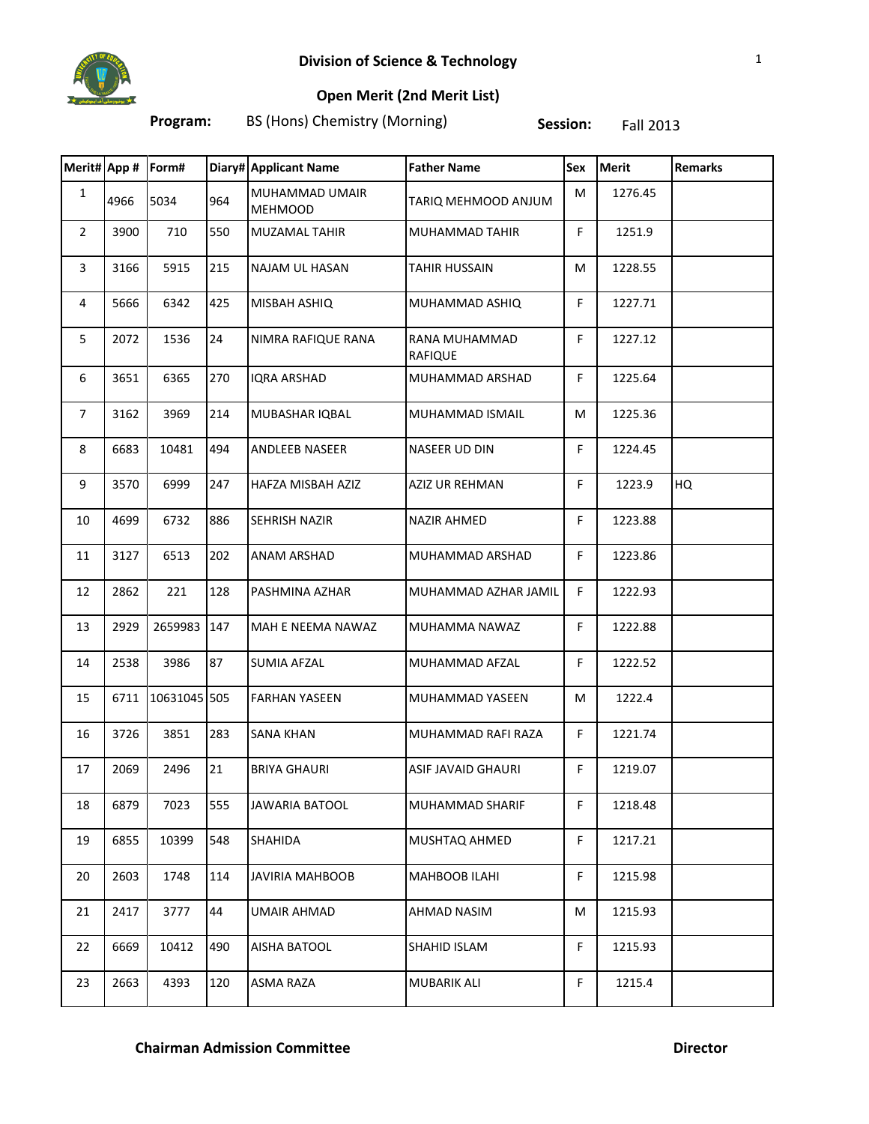

**Open Merit (2nd Merit List)**

**Program:** BS (Hons) Chemistry (Morning) **Session:** Fall 2013

|                | Merit# App # Form# |              |     | Diary# Applicant Name            | <b>Father Name</b>       | Sex         | <b>Merit</b> | <b>Remarks</b> |
|----------------|--------------------|--------------|-----|----------------------------------|--------------------------|-------------|--------------|----------------|
| $\mathbf{1}$   | 4966               | 5034         | 964 | MUHAMMAD UMAIR<br><b>MEHMOOD</b> | TARIQ MEHMOOD ANJUM      | M           | 1276.45      |                |
| $\mathbf{2}$   | 3900               | 710          | 550 | <b>MUZAMAL TAHIR</b>             | MUHAMMAD TAHIR           | F.          | 1251.9       |                |
| 3              | 3166               | 5915         | 215 | NAJAM UL HASAN                   | <b>TAHIR HUSSAIN</b>     | M           | 1228.55      |                |
| 4              | 5666               | 6342         | 425 | MISBAH ASHIQ                     | MUHAMMAD ASHIQ           | F.          | 1227.71      |                |
| 5              | 2072               | 1536         | 24  | NIMRA RAFIQUE RANA               | RANA MUHAMMAD<br>RAFIQUE | F.          | 1227.12      |                |
| 6              | 3651               | 6365         | 270 | <b>IQRA ARSHAD</b>               | MUHAMMAD ARSHAD          | F           | 1225.64      |                |
| $\overline{7}$ | 3162               | 3969         | 214 | MUBASHAR IQBAL                   | MUHAMMAD ISMAIL          | M           | 1225.36      |                |
| 8              | 6683               | 10481        | 494 | ANDLEEB NASEER                   | NASEER UD DIN            | F           | 1224.45      |                |
| 9              | 3570               | 6999         | 247 | HAFZA MISBAH AZIZ                | AZIZ UR REHMAN           | F           | 1223.9       | HQ             |
| 10             | 4699               | 6732         | 886 | SEHRISH NAZIR                    | <b>NAZIR AHMED</b>       | F           | 1223.88      |                |
| 11             | 3127               | 6513         | 202 | <b>ANAM ARSHAD</b>               | MUHAMMAD ARSHAD          | F           | 1223.86      |                |
| 12             | 2862               | 221          | 128 | PASHMINA AZHAR                   | MUHAMMAD AZHAR JAMIL     | F.          | 1222.93      |                |
| 13             | 2929               | 2659983 147  |     | MAH E NEEMA NAWAZ                | MUHAMMA NAWAZ            | F           | 1222.88      |                |
| 14             | 2538               | 3986         | 87  | <b>SUMIA AFZAL</b>               | MUHAMMAD AFZAL           | F           | 1222.52      |                |
| 15             | 6711               | 10631045 505 |     | <b>FARHAN YASEEN</b>             | MUHAMMAD YASEEN          | M           | 1222.4       |                |
| 16             | 3726               | 3851         | 283 | <b>SANA KHAN</b>                 | MUHAMMAD RAFI RAZA       | F           | 1221.74      |                |
| 17             | 2069               | 2496         | 21  | <b>BRIYA GHAURI</b>              | ASIF JAVAID GHAURI       | F           | 1219.07      |                |
| 18             | 6879               | 7023         | 555 | JAWARIA BATOOL                   | MUHAMMAD SHARIF          | F           | 1218.48      |                |
| 19             | 6855               | 10399        | 548 | SHAHIDA                          | MUSHTAQ AHMED            | F.          | 1217.21      |                |
| 20             | 2603               | 1748         | 114 | JAVIRIA MAHBOOB                  | MAHBOOB ILAHI            | F           | 1215.98      |                |
| 21             | 2417               | 3777         | 44  | <b>UMAIR AHMAD</b>               | AHMAD NASIM              | M           | 1215.93      |                |
| 22             | 6669               | 10412        | 490 | AISHA BATOOL                     | SHAHID ISLAM             | F           | 1215.93      |                |
| 23             | 2663               | 4393         | 120 | ASMA RAZA                        | MUBARIK ALI              | $\mathsf F$ | 1215.4       |                |